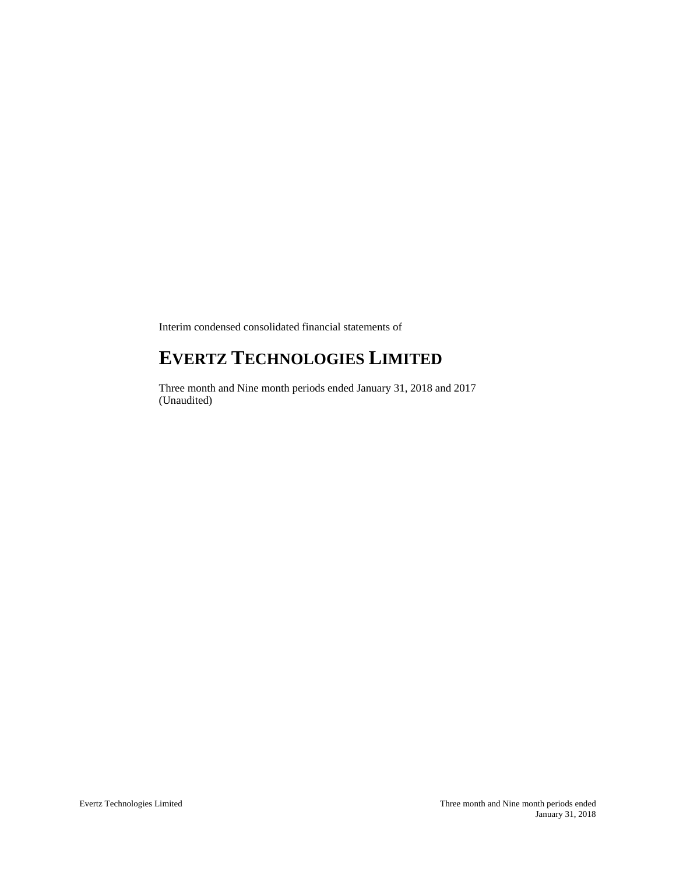Interim condensed consolidated financial statements of

# **EVERTZ TECHNOLOGIES LIMITED**

Three month and Nine month periods ended January 31, 2018 and 2017 (Unaudited)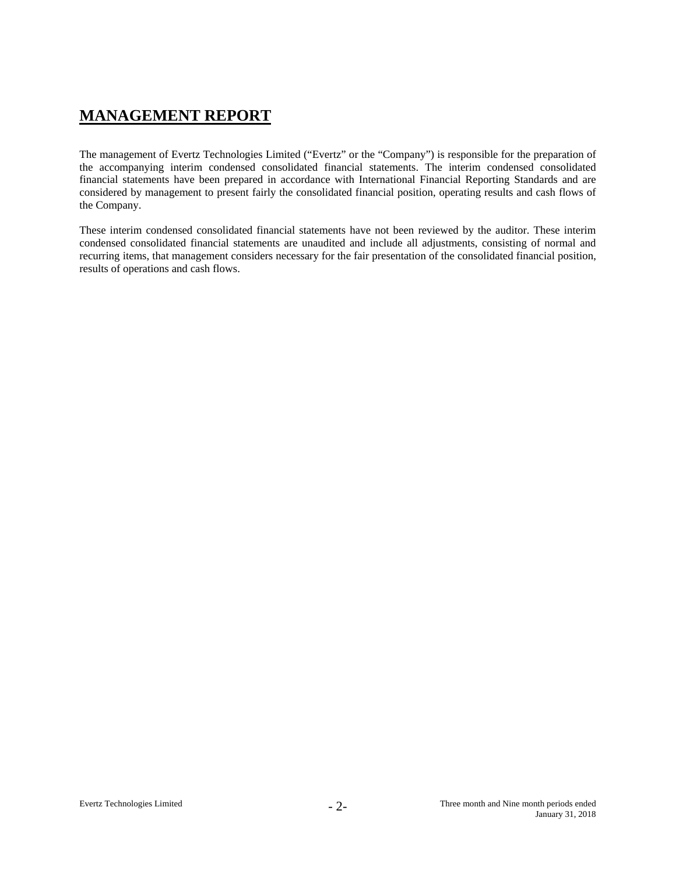# **MANAGEMENT REPORT**

The management of Evertz Technologies Limited ("Evertz" or the "Company") is responsible for the preparation of the accompanying interim condensed consolidated financial statements. The interim condensed consolidated financial statements have been prepared in accordance with International Financial Reporting Standards and are considered by management to present fairly the consolidated financial position, operating results and cash flows of the Company.

These interim condensed consolidated financial statements have not been reviewed by the auditor. These interim condensed consolidated financial statements are unaudited and include all adjustments, consisting of normal and recurring items, that management considers necessary for the fair presentation of the consolidated financial position, results of operations and cash flows.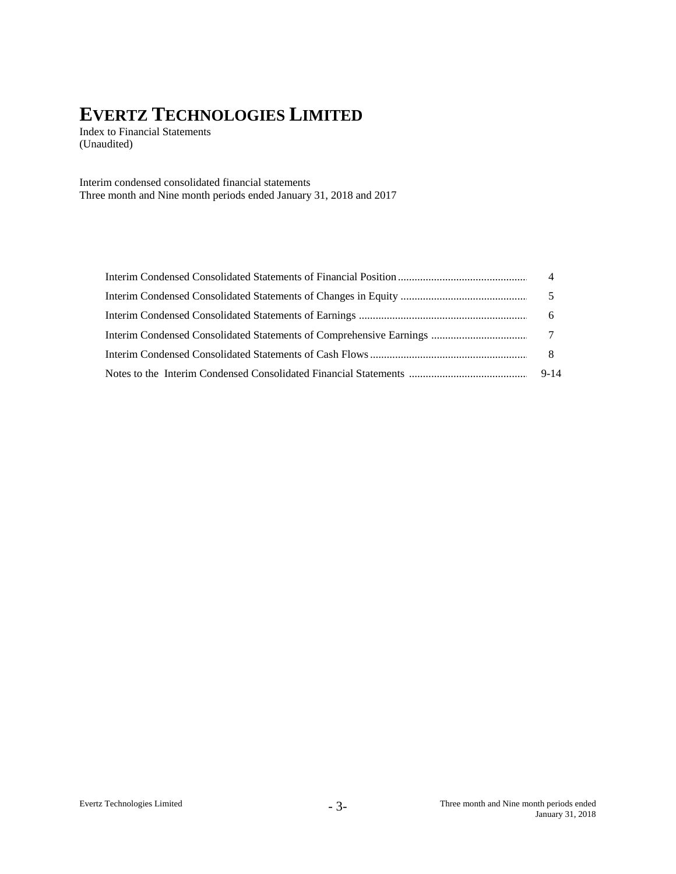Index to Financial Statements (Unaudited)

Interim condensed consolidated financial statements Three month and Nine month periods ended January 31, 2018 and 2017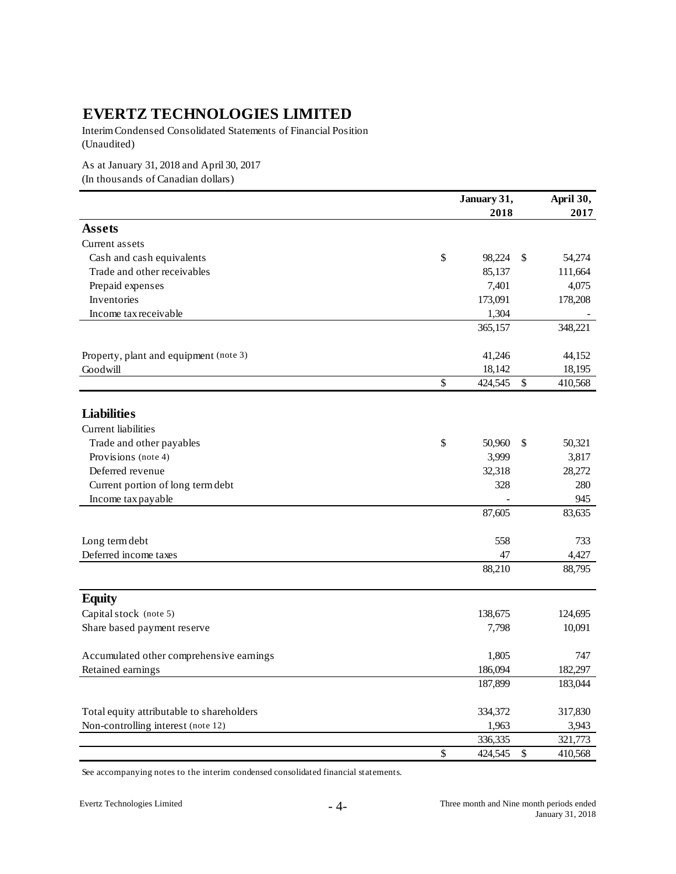Interim Condensed Consolidated Statements of Financial Position (Unaudited)

As at January 31, 2018 and April 30, 2017 (In thousands of Canadian dollars)

|                                           | January 31,   |    |         |  |
|-------------------------------------------|---------------|----|---------|--|
|                                           | 2018          |    | 2017    |  |
| <b>Assets</b>                             |               |    |         |  |
| Current assets                            |               |    |         |  |
| Cash and cash equivalents                 | \$<br>98,224  | \$ | 54,274  |  |
| Trade and other receivables               | 85,137        |    | 111,664 |  |
| Prepaid expenses                          | 7,401         |    | 4,075   |  |
| Inventories                               | 173,091       |    | 178,208 |  |
| Income tax receivable                     | 1,304         |    |         |  |
|                                           | 365,157       |    | 348,221 |  |
| Property, plant and equipment (note 3)    | 41,246        |    | 44,152  |  |
| Goodwill                                  | 18,142        |    | 18,195  |  |
|                                           | \$<br>424,545 | \$ | 410,568 |  |
| <b>Liabilities</b>                        |               |    |         |  |
| Current liabilities                       |               |    |         |  |
| Trade and other payables                  | \$<br>50,960  | \$ | 50,321  |  |
| Provisions (note 4)                       | 3,999         |    | 3,817   |  |
| Deferred revenue                          | 32,318        |    | 28,272  |  |
| Current portion of long term debt         | 328           |    | 280     |  |
| Income tax payable                        |               |    | 945     |  |
|                                           | 87,605        |    | 83,635  |  |
| Long term debt                            | 558           |    | 733     |  |
| Deferred income taxes                     | 47            |    | 4,427   |  |
|                                           | 88,210        |    | 88,795  |  |
| <b>Equity</b>                             |               |    |         |  |
| Capital stock (note 5)                    | 138,675       |    | 124,695 |  |
| Share based payment reserve               | 7,798         |    | 10,091  |  |
| Accumulated other comprehensive earnings  | 1,805         |    | 747     |  |
| Retained earnings                         | 186,094       |    | 182,297 |  |
|                                           | 187,899       |    | 183,044 |  |
| Total equity attributable to shareholders | 334,372       |    | 317,830 |  |
| Non-controlling interest (note 12)        | 1,963         |    | 3,943   |  |
|                                           | 336,335       |    | 321,773 |  |
|                                           | \$<br>424,545 | \$ | 410,568 |  |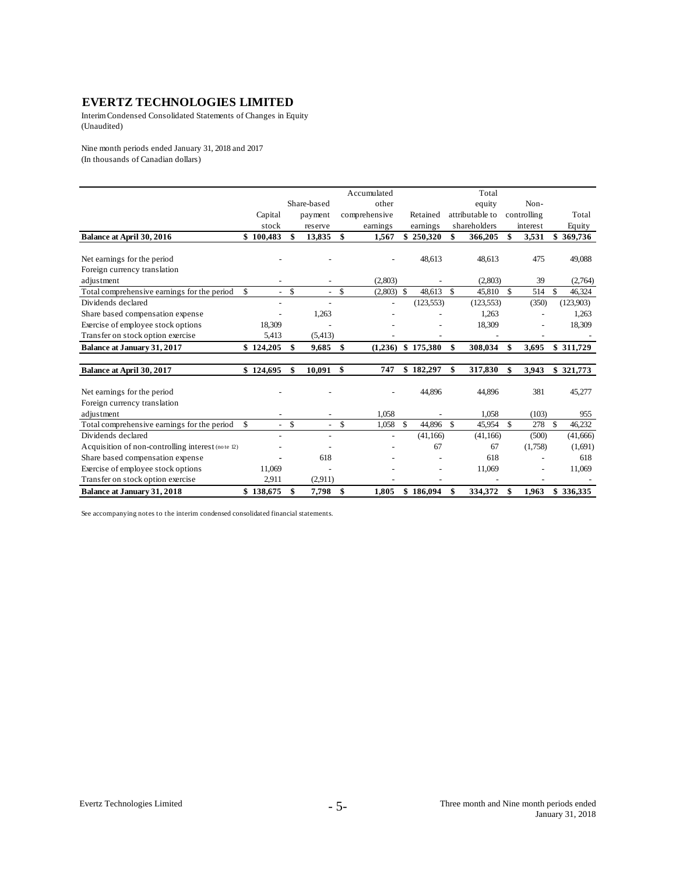Interim Condensed Consolidated Statements of Changes in Equity (Unaudited)

Nine month periods ended January 31, 2018 and 2017 (In thousands of Canadian dollars)

|                                                   |                          |              |                          |               | Accumulated   |               |            |               | Total           |     |             |               |           |
|---------------------------------------------------|--------------------------|--------------|--------------------------|---------------|---------------|---------------|------------|---------------|-----------------|-----|-------------|---------------|-----------|
|                                                   |                          |              | Share-based              |               | other         |               |            |               | equity          |     | Non-        |               |           |
|                                                   | Capital                  |              | payment                  |               | comprehensive |               | Retained   |               | attributable to |     | controlling |               | Total     |
|                                                   | stock                    |              | reserve                  |               | earnings      |               | earnings   |               | shareholders    |     | interest    |               | Equity    |
| Balance at April 30, 2016                         | \$100,483                | \$           | 13,835                   | \$            | 1,567         |               | \$250,320  | \$            | 366,205         | \$  | 3,531       | \$            | 369,736   |
|                                                   |                          |              |                          |               |               |               |            |               |                 |     |             |               |           |
| Net earnings for the period                       |                          |              |                          |               |               |               | 48,613     |               | 48,613          |     | 475         |               | 49,088    |
| Foreign currency translation                      |                          |              |                          |               |               |               |            |               |                 |     |             |               |           |
| adjustment                                        |                          |              | $\overline{\phantom{a}}$ |               | (2,803)       |               |            |               | (2,803)         |     | 39          |               | (2,764)   |
| Total comprehensive earnings for the period       | \$<br>$\sim$             | $\mathbb{S}$ | $\sim$                   | $\mathcal{S}$ | (2,803)       | -S            | 48.613     | $\mathcal{S}$ | 45,810          | \$  | 514         | <sup>\$</sup> | 46,324    |
| Dividends declared                                |                          |              | $\overline{a}$           |               |               |               | (123, 553) |               | (123, 553)      |     | (350)       |               | (123,903) |
| Share based compensation expense                  |                          |              | 1,263                    |               |               |               |            |               | 1,263           |     |             |               | 1,263     |
| Exercise of employee stock options                | 18,309                   |              |                          |               |               |               |            |               | 18,309          |     |             |               | 18,309    |
| Transfer on stock option exercise                 | 5,413                    |              | (5, 413)                 |               |               |               |            |               |                 |     |             |               |           |
| Balance at January 31, 2017                       | \$124,205                | S            | 9,685                    | \$            | (1,236)       |               | \$175,380  | \$            | 308,034         | \$  | 3,695       |               | \$311,729 |
| Balance at April 30, 2017                         | \$124,695                | \$           | 10,091                   | $\mathbf{s}$  | 747           |               | \$182,297  | \$            | 317,830         | \$  | 3,943       |               | \$321,773 |
|                                                   |                          |              |                          |               |               |               |            |               |                 |     |             |               |           |
| Net earnings for the period                       |                          |              |                          |               |               |               | 44,896     |               | 44,896          |     | 381         |               | 45,277    |
| Foreign currency translation                      |                          |              |                          |               |               |               |            |               |                 |     |             |               |           |
| adjustment                                        | $\overline{\phantom{a}}$ |              | $\overline{\phantom{a}}$ |               | 1,058         |               |            |               | 1,058           |     | (103)       |               | 955       |
| Total comprehensive earnings for the period       | \$<br>$\sim$             | $\mathbb{S}$ | $\mathcal{L}^{\pm}$      | $\mathbf S$   | 1,058         | $\mathsf{\$}$ | 44.896     | $\mathcal{S}$ | 45,954          | \$. | 278         | $\mathbb{S}$  | 46,232    |
| Dividends declared                                |                          |              | $\overline{\phantom{a}}$ |               |               |               | (41, 166)  |               | (41, 166)       |     | (500)       |               | (41,666)  |
| Acquisition of non-controlling interest (note 12) |                          |              |                          |               |               |               | 67         |               | 67              |     | (1,758)     |               | (1,691)   |
| Share based compensation expense                  |                          |              | 618                      |               |               |               |            |               | 618             |     |             |               | 618       |
| Exercise of employee stock options                | 11,069                   |              |                          |               |               |               |            |               | 11,069          |     |             |               | 11,069    |
| Transfer on stock option exercise                 | 2,911                    |              | (2,911)                  |               |               |               |            |               |                 |     |             |               |           |
| <b>Balance at January 31, 2018</b>                | \$138,675                | \$           | 7,798                    | \$            | 1.805         |               | \$186,094  | \$            | 334.372         | \$  | 1.963       |               | \$336.335 |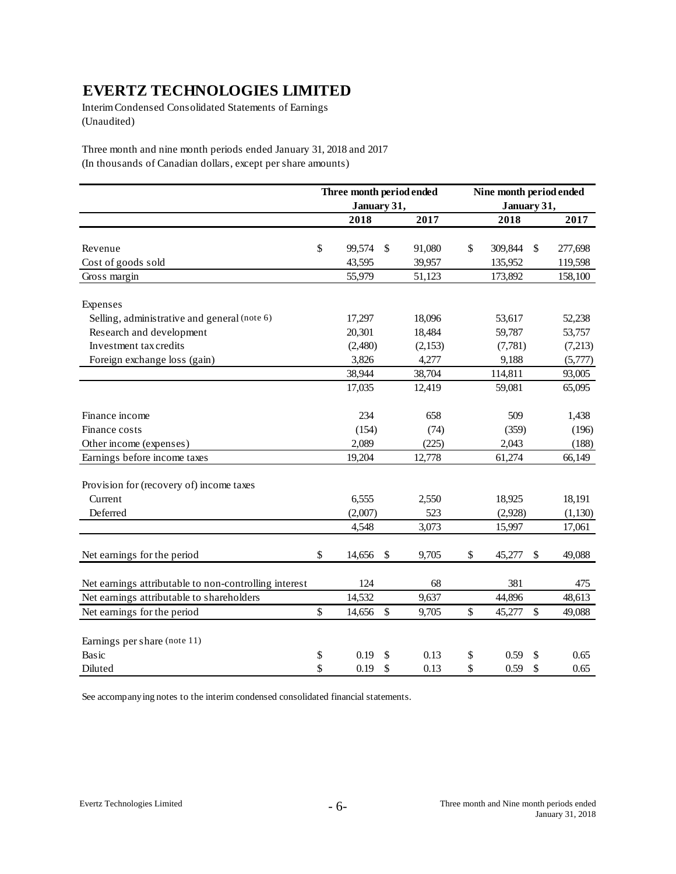Interim Condensed Consolidated Statements of Earnings (Unaudited)

Three month and nine month periods ended January 31, 2018 and 2017 (In thousands of Canadian dollars, except per share amounts)

|                                                       | Three month period ended |    |         | Nine month period ended |             |               |  |  |  |
|-------------------------------------------------------|--------------------------|----|---------|-------------------------|-------------|---------------|--|--|--|
|                                                       | January 31,              |    |         |                         | January 31, |               |  |  |  |
|                                                       | 2018                     |    | 2017    |                         | 2018        | 2017          |  |  |  |
|                                                       |                          |    |         |                         |             |               |  |  |  |
| Revenue                                               | \$<br>99,574             | \$ | 91,080  | \$                      | 309,844     | \$<br>277,698 |  |  |  |
| Cost of goods sold                                    | 43,595                   |    | 39,957  |                         | 135,952     | 119,598       |  |  |  |
| Gross margin                                          | 55,979                   |    | 51,123  |                         | 173,892     | 158,100       |  |  |  |
| Expenses                                              |                          |    |         |                         |             |               |  |  |  |
| Selling, administrative and general (note 6)          | 17,297                   |    | 18,096  |                         | 53,617      | 52,238        |  |  |  |
| Research and development                              | 20,301                   |    | 18,484  |                         | 59,787      | 53,757        |  |  |  |
| Investment tax credits                                | (2,480)                  |    | (2,153) |                         | (7,781)     | (7,213)       |  |  |  |
| Foreign exchange loss (gain)                          | 3,826                    |    | 4,277   |                         | 9,188       | (5,777)       |  |  |  |
|                                                       | 38,944                   |    | 38,704  |                         | 114,811     | 93,005        |  |  |  |
|                                                       | 17,035                   |    | 12,419  |                         | 59,081      | 65,095        |  |  |  |
| Finance income                                        | 234                      |    | 658     |                         | 509         | 1,438         |  |  |  |
| Finance costs                                         | (154)                    |    | (74)    |                         | (359)       | (196)         |  |  |  |
| Other income (expenses)                               | 2,089                    |    | (225)   |                         | 2,043       | (188)         |  |  |  |
| Earnings before income taxes                          | 19,204                   |    | 12,778  |                         | 61,274      | 66,149        |  |  |  |
| Provision for (recovery of) income taxes              |                          |    |         |                         |             |               |  |  |  |
| Current                                               | 6,555                    |    | 2,550   |                         | 18,925      | 18,191        |  |  |  |
| Deferred                                              | (2,007)                  |    | 523     |                         | (2,928)     | (1,130)       |  |  |  |
|                                                       | 4,548                    |    | 3,073   |                         | 15,997      | 17,061        |  |  |  |
| Net earnings for the period                           | \$<br>14,656             | \$ | 9,705   | \$                      | 45,277      | \$<br>49,088  |  |  |  |
| Net earnings attributable to non-controlling interest | 124                      |    | 68      |                         | 381         | 475           |  |  |  |
| Net earnings attributable to shareholders             | 14,532                   |    | 9,637   |                         | 44,896      | 48,613        |  |  |  |
| Net earnings for the period                           | \$<br>14,656             | \$ | 9,705   | \$                      | 45,277      | \$<br>49,088  |  |  |  |
| Earnings per share (note 11)                          |                          |    |         |                         |             |               |  |  |  |
| Basic                                                 | \$<br>0.19               | \$ | 0.13    | \$                      | 0.59        | \$<br>0.65    |  |  |  |
| Diluted                                               | \$<br>0.19               | \$ | 0.13    | \$                      | 0.59        | \$<br>0.65    |  |  |  |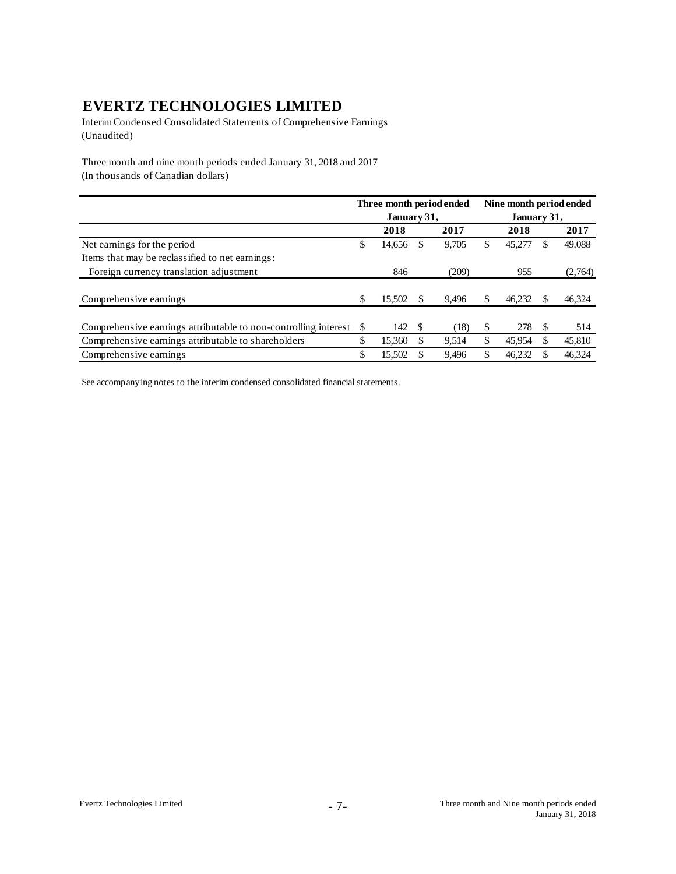Interim Condensed Consolidated Statements of Comprehensive Earnings (Unaudited)

Three month and nine month periods ended January 31, 2018 and 2017 (In thousands of Canadian dollars)

|                                                                    | Three month period ended |        |     |       |    | Nine month period ended |   |         |  |  |  |
|--------------------------------------------------------------------|--------------------------|--------|-----|-------|----|-------------------------|---|---------|--|--|--|
|                                                                    | January 31,              |        |     |       |    | January 31,             |   |         |  |  |  |
|                                                                    |                          | 2018   |     | 2017  |    | 2018                    |   | 2017    |  |  |  |
| Net earnings for the period                                        | S                        | 14,656 | S   | 9,705 | \$ | 45,277                  | S | 49,088  |  |  |  |
| Items that may be reclassified to net earnings:                    |                          |        |     |       |    |                         |   |         |  |  |  |
| Foreign currency translation adjustment                            |                          | 846    |     | (209) |    | 955                     |   | (2,764) |  |  |  |
|                                                                    |                          |        |     |       |    |                         |   |         |  |  |  |
| Comprehensive earnings                                             | S                        | 15.502 |     | 9.496 | S  | 46.232                  |   | 46,324  |  |  |  |
|                                                                    |                          |        |     |       |    |                         |   |         |  |  |  |
| Comprehensive earnings attributable to non-controlling interest \$ |                          | 142    | \$. | (18)  | S  | 278                     | S | 514     |  |  |  |
| Comprehensive earnings attributable to shareholders                |                          | 15.360 | S   | 9,514 | \$ | 45,954                  |   | 45,810  |  |  |  |
| Comprehensive earnings                                             | \$                       | 15,502 |     | 9,496 |    | 46.232                  |   | 46,324  |  |  |  |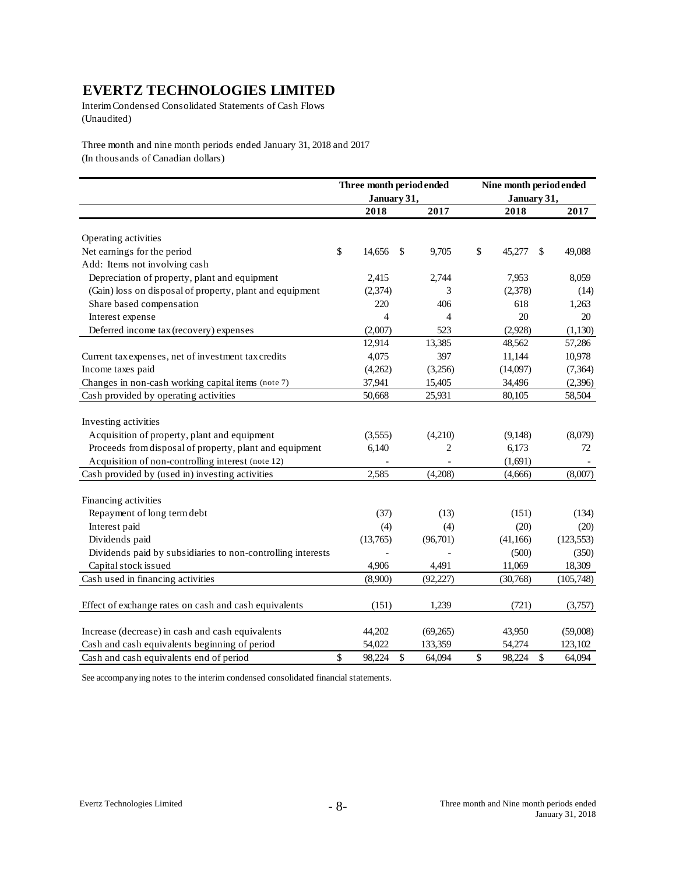Interim Condensed Consolidated Statements of Cash Flows (Unaudited)

Three month and nine month periods ended January 31, 2018 and 2017 (In thousands of Canadian dollars)

|                                                             | Three month period ended |                | Nine month period ended |             |    |            |  |
|-------------------------------------------------------------|--------------------------|----------------|-------------------------|-------------|----|------------|--|
|                                                             | January 31,              |                |                         | January 31, |    |            |  |
|                                                             | 2018                     | 2017           |                         | 2018        |    | 2017       |  |
| Operating activities                                        |                          |                |                         |             |    |            |  |
| Net earnings for the period                                 | \$<br>14,656             | \$<br>9,705    | \$                      | 45,277      | S  | 49,088     |  |
| Add: Items not involving cash                               |                          |                |                         |             |    |            |  |
| Depreciation of property, plant and equipment               | 2,415                    | 2,744          |                         | 7,953       |    | 8,059      |  |
| (Gain) loss on disposal of property, plant and equipment    | (2,374)                  | 3              |                         | (2,378)     |    | (14)       |  |
| Share based compensation                                    | 220                      | 406            |                         | 618         |    | 1,263      |  |
| Interest expense                                            | $\overline{4}$           | 4              |                         | 20          |    | 20         |  |
| Deferred income tax (recovery) expenses                     | (2,007)                  | 523            |                         | (2,928)     |    | (1,130)    |  |
|                                                             | 12,914                   | 13,385         |                         | 48,562      |    | 57,286     |  |
| Current tax expenses, net of investment tax credits         | 4,075                    | 397            |                         | 11,144      |    | 10,978     |  |
| Income taxes paid                                           | (4,262)                  | (3,256)        |                         | (14,097)    |    | (7, 364)   |  |
| Changes in non-cash working capital items (note 7)          | 37,941                   | 15,405         |                         | 34,496      |    | (2,396)    |  |
| Cash provided by operating activities                       | 50,668                   | 25,931         |                         | 80,105      |    | 58,504     |  |
|                                                             |                          |                |                         |             |    |            |  |
| Investing activities                                        |                          |                |                         |             |    |            |  |
| Acquisition of property, plant and equipment                | (3,555)                  | (4,210)        |                         | (9,148)     |    | (8,079)    |  |
| Proceeds from disposal of property, plant and equipment     | 6,140                    | $\overline{2}$ |                         | 6,173       |    | 72         |  |
| Acquisition of non-controlling interest (note 12)           |                          |                |                         | (1,691)     |    |            |  |
| Cash provided by (used in) investing activities             | 2,585                    | (4,208)        |                         | (4,666)     |    | (8,007)    |  |
|                                                             |                          |                |                         |             |    |            |  |
| Financing activities                                        |                          |                |                         |             |    |            |  |
| Repayment of long term debt                                 | (37)                     | (13)           |                         | (151)       |    | (134)      |  |
| Interest paid                                               | (4)                      | (4)            |                         | (20)        |    | (20)       |  |
| Dividends paid                                              | (13,765)                 | (96,701)       |                         | (41, 166)   |    | (123, 553) |  |
| Dividends paid by subsidiaries to non-controlling interests |                          |                |                         | (500)       |    | (350)      |  |
| Capital stock issued                                        | 4,906                    | 4,491          |                         | 11,069      |    | 18,309     |  |
| Cash used in financing activities                           | (8,900)                  | (92, 227)      |                         | (30,768)    |    | (105,748)  |  |
|                                                             |                          |                |                         |             |    |            |  |
| Effect of exchange rates on cash and cash equivalents       | (151)                    | 1,239          |                         | (721)       |    | (3,757)    |  |
|                                                             |                          |                |                         |             |    |            |  |
| Increase (decrease) in cash and cash equivalents            | 44,202                   | (69,265)       |                         | 43,950      |    | (59,008)   |  |
| Cash and cash equivalents beginning of period               | 54,022                   | 133,359        |                         | 54,274      |    | 123,102    |  |
| Cash and cash equivalents end of period                     | \$<br>98,224             | \$<br>64,094   | \$                      | 98,224      | \$ | 64,094     |  |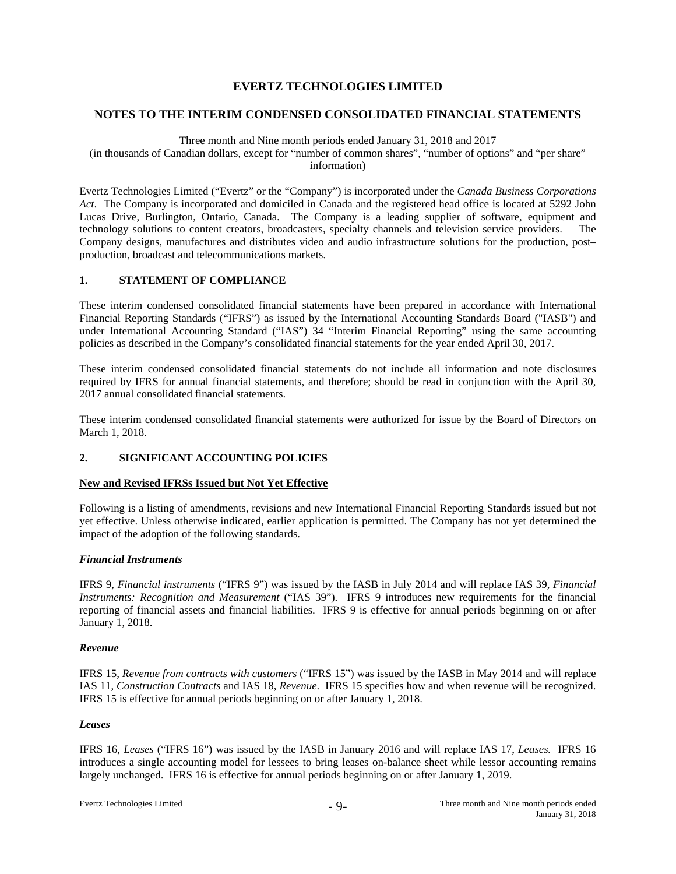#### **NOTES TO THE INTERIM CONDENSED CONSOLIDATED FINANCIAL STATEMENTS**

#### Three month and Nine month periods ended January 31, 2018 and 2017

(in thousands of Canadian dollars, except for "number of common shares", "number of options" and "per share" information)

Evertz Technologies Limited ("Evertz" or the "Company") is incorporated under the *Canada Business Corporations Act*. The Company is incorporated and domiciled in Canada and the registered head office is located at 5292 John Lucas Drive, Burlington, Ontario, Canada. The Company is a leading supplier of software, equipment and technology solutions to content creators, broadcasters, specialty channels and television service providers. The Company designs, manufactures and distributes video and audio infrastructure solutions for the production, post– production, broadcast and telecommunications markets.

#### **1. STATEMENT OF COMPLIANCE**

These interim condensed consolidated financial statements have been prepared in accordance with International Financial Reporting Standards ("IFRS") as issued by the International Accounting Standards Board ("IASB") and under International Accounting Standard ("IAS") 34 "Interim Financial Reporting" using the same accounting policies as described in the Company's consolidated financial statements for the year ended April 30, 2017.

These interim condensed consolidated financial statements do not include all information and note disclosures required by IFRS for annual financial statements, and therefore; should be read in conjunction with the April 30, 2017 annual consolidated financial statements.

These interim condensed consolidated financial statements were authorized for issue by the Board of Directors on March 1, 2018.

# **2. SIGNIFICANT ACCOUNTING POLICIES**

# **New and Revised IFRSs Issued but Not Yet Effective**

Following is a listing of amendments, revisions and new International Financial Reporting Standards issued but not yet effective. Unless otherwise indicated, earlier application is permitted. The Company has not yet determined the impact of the adoption of the following standards.

# *Financial Instruments*

IFRS 9, *Financial instruments* ("IFRS 9") was issued by the IASB in July 2014 and will replace IAS 39, *Financial Instruments: Recognition and Measurement* ("IAS 39"). IFRS 9 introduces new requirements for the financial reporting of financial assets and financial liabilities. IFRS 9 is effective for annual periods beginning on or after January 1, 2018.

#### *Revenue*

IFRS 15, *Revenue from contracts with customers* ("IFRS 15") was issued by the IASB in May 2014 and will replace IAS 11, *Construction Contracts* and IAS 18, *Revenue*. IFRS 15 specifies how and when revenue will be recognized. IFRS 15 is effective for annual periods beginning on or after January 1, 2018.

# *Leases*

IFRS 16, *Leases* ("IFRS 16") was issued by the IASB in January 2016 and will replace IAS 17, *Leases.* IFRS 16 introduces a single accounting model for lessees to bring leases on-balance sheet while lessor accounting remains largely unchanged. IFRS 16 is effective for annual periods beginning on or after January 1, 2019.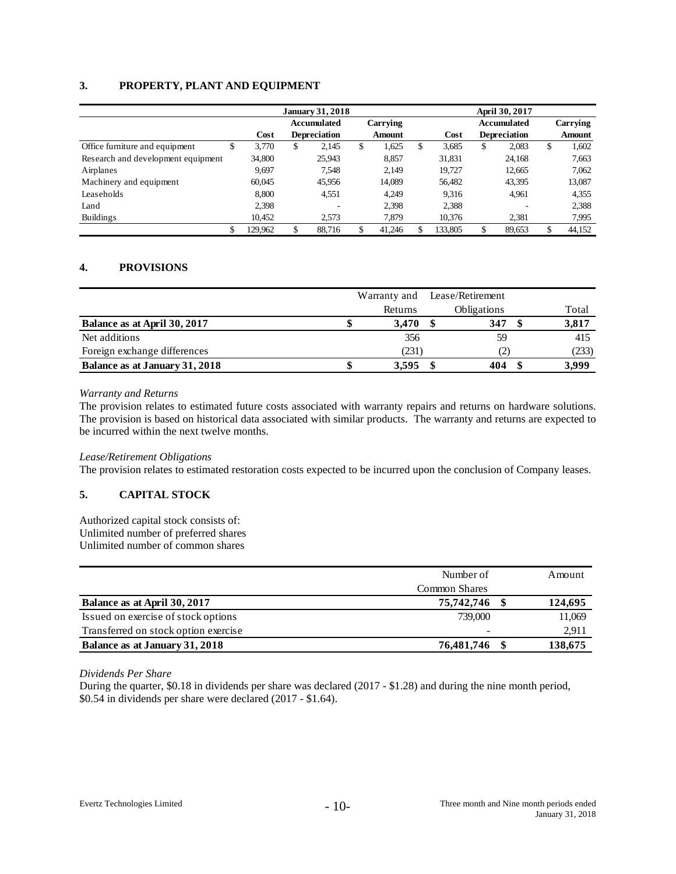# **3. PROPERTY, PLANT AND EQUIPMENT**

|                                    |    | <b>January 31, 2018</b> |    |                     |    |          |    | April 30, 2017 |    |                     |    |          |
|------------------------------------|----|-------------------------|----|---------------------|----|----------|----|----------------|----|---------------------|----|----------|
|                                    |    |                         |    | <b>Accumulated</b>  |    | Carrying |    |                |    | Accumulated         |    | Carrying |
|                                    |    | Cost                    |    | <b>Depreciation</b> |    | Amount   |    | Cost           |    | <b>Depreciation</b> |    | Amount   |
| Office furniture and equipment     | C  | 3,770                   | \$ | 2.145               | \$ | 1,625    | \$ | 3,685          | \$ | 2,083               | \$ | 1,602    |
| Research and development equipment |    | 34,800                  |    | 25,943              |    | 8,857    |    | 31,831         |    | 24,168              |    | 7,663    |
| Airplanes                          |    | 9,697                   |    | 7.548               |    | 2.149    |    | 19.727         |    | 12,665              |    | 7,062    |
| Machinery and equipment            |    | 60.045                  |    | 45,956              |    | 14,089   |    | 56.482         |    | 43,395              |    | 13,087   |
| Leaseholds                         |    | 8.800                   |    | 4,551               |    | 4.249    |    | 9.316          |    | 4,961               |    | 4,355    |
| Land                               |    | 2,398                   |    | ۰                   |    | 2,398    |    | 2,388          |    |                     |    | 2,388    |
| Buildings                          |    | 10,452                  |    | 2.573               |    | 7,879    |    | 10,376         |    | 2,381               |    | 7,995    |
|                                    | \$ | 129,962                 | \$ | 88.716              |    | 41,246   |    | 133,805        | \$ | 89,653              | \$ | 44,152   |

# **4. PROVISIONS**

|                                | Warranty and | Lease/Retirement   |       |
|--------------------------------|--------------|--------------------|-------|
|                                | Returns      | <b>Obligations</b> | Total |
| Balance as at April 30, 2017   | 3,470        | 347                | 3,817 |
| Net additions                  | 356          | 59                 | 415   |
| Foreign exchange differences   | (231)        | 21                 | (233) |
| Balance as at January 31, 2018 | 3.595        | 404                | 3.999 |

#### *Warranty and Returns*

The provision relates to estimated future costs associated with warranty repairs and returns on hardware solutions. The provision is based on historical data associated with similar products. The warranty and returns are expected to be incurred within the next twelve months.

#### *Lease/Retirement Obligations*

The provision relates to estimated restoration costs expected to be incurred upon the conclusion of Company leases.

# **5. CAPITAL STOCK**

Authorized capital stock consists of: Unlimited number of preferred shares Unlimited number of common shares

|                                      | Number of     | Amount  |
|--------------------------------------|---------------|---------|
|                                      | Common Shares |         |
| Balance as at April 30, 2017         | 75,742,746    | 124,695 |
| Issued on exercise of stock options  | 739,000       | 11,069  |
| Transferred on stock option exercise |               | 2,911   |
| Balance as at January 31, 2018       | 76,481,746    | 138,675 |

*Dividends Per Share* 

During the quarter, \$0.18 in dividends per share was declared (2017 - \$1.28) and during the nine month period, \$0.54 in dividends per share were declared (2017 - \$1.64).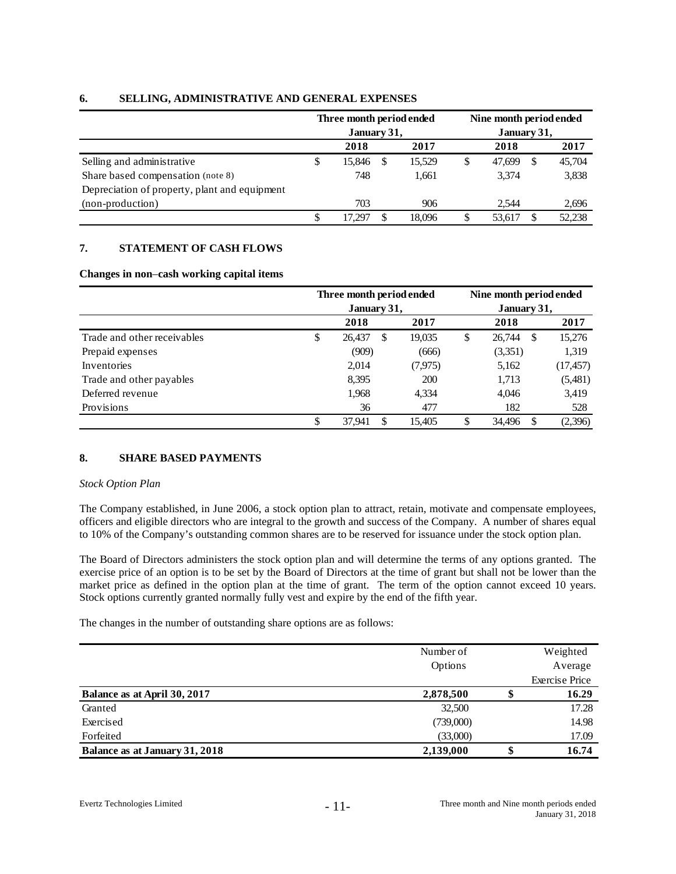|                                               |   | Three month period ended<br>January 31, |  | Nine month period ended<br>January 31, |    |        |   |        |  |
|-----------------------------------------------|---|-----------------------------------------|--|----------------------------------------|----|--------|---|--------|--|
|                                               |   | 2018                                    |  | 2017                                   |    | 2018   |   | 2017   |  |
| Selling and administrative                    | ъ | 15.846                                  |  | 15,529                                 | \$ | 47,699 | S | 45,704 |  |
| Share based compensation (note 8)             |   | 748                                     |  | 1,661                                  |    | 3,374  |   | 3,838  |  |
| Depreciation of property, plant and equipment |   |                                         |  |                                        |    |        |   |        |  |
| (non-production)                              |   | 703                                     |  | 906                                    |    | 2.544  |   | 2,696  |  |
|                                               |   | 17.297                                  |  | 18.096                                 | \$ | 53,617 |   | 52,238 |  |

## **6. SELLING, ADMINISTRATIVE AND GENERAL EXPENSES**

# **7. STATEMENT OF CASH FLOWS**

#### **Changes in non**–**cash working capital items**

|                             | Three month period ended |    |          | Nine month period ended |             |    |           |  |  |
|-----------------------------|--------------------------|----|----------|-------------------------|-------------|----|-----------|--|--|
|                             | January 31,              |    |          |                         | January 31, |    |           |  |  |
|                             | 2018                     |    | 2017     |                         | 2018        |    | 2017      |  |  |
| Trade and other receivables | \$<br>26,437             | \$ | 19,035   | \$                      | 26.744      | -S | 15,276    |  |  |
| Prepaid expenses            | (909)                    |    | (666)    |                         | (3,351)     |    | 1,319     |  |  |
| Inventories                 | 2,014                    |    | (7, 975) |                         | 5,162       |    | (17, 457) |  |  |
| Trade and other payables    | 8.395                    |    | 200      |                         | 1,713       |    | (5,481)   |  |  |
| Deferred revenue            | 1,968                    |    | 4,334    |                         | 4.046       |    | 3,419     |  |  |
| Provisions                  | 36                       |    | 477      |                         | 182         |    | 528       |  |  |
|                             | \$<br>37.941             | \$ | 15.405   | \$                      | 34.496      | \$ | (2,396)   |  |  |

# **8. SHARE BASED PAYMENTS**

#### *Stock Option Plan*

The Company established, in June 2006, a stock option plan to attract, retain, motivate and compensate employees, officers and eligible directors who are integral to the growth and success of the Company. A number of shares equal to 10% of the Company's outstanding common shares are to be reserved for issuance under the stock option plan.

The Board of Directors administers the stock option plan and will determine the terms of any options granted. The exercise price of an option is to be set by the Board of Directors at the time of grant but shall not be lower than the market price as defined in the option plan at the time of grant. The term of the option cannot exceed 10 years. Stock options currently granted normally fully vest and expire by the end of the fifth year.

The changes in the number of outstanding share options are as follows:

|                                | Number of |   | Weighted              |
|--------------------------------|-----------|---|-----------------------|
|                                | Options   |   | Average               |
|                                |           |   | <b>Exercise Price</b> |
| Balance as at April 30, 2017   | 2,878,500 |   | 16.29                 |
| Granted                        | 32,500    |   | 17.28                 |
| Exercised                      | (739,000) |   | 14.98                 |
| Forfeited                      | (33,000)  |   | 17.09                 |
| Balance as at January 31, 2018 | 2,139,000 | ง | 16.74                 |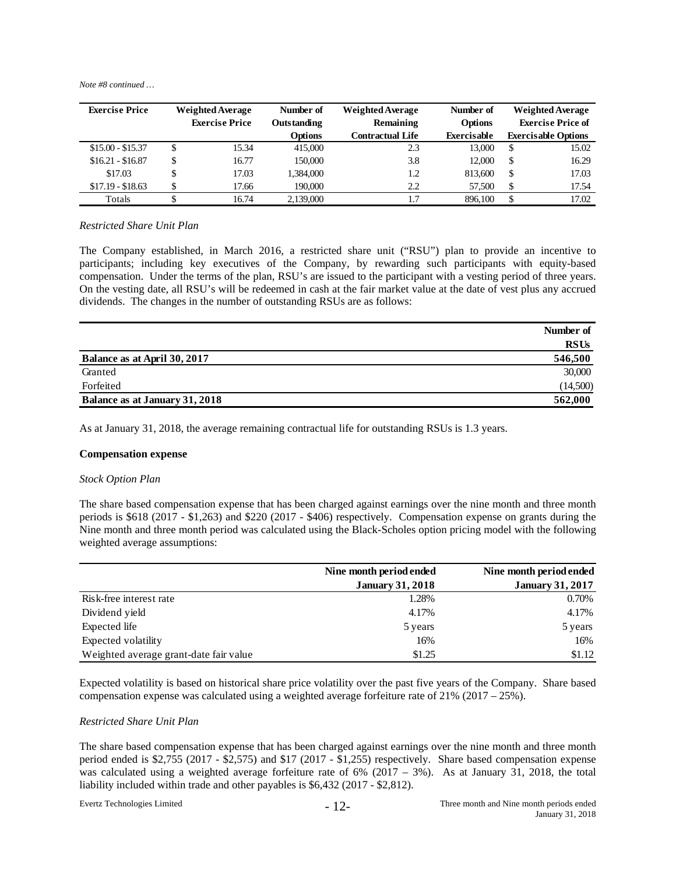*Note #8 continued …* 

| <b>Exercise Price</b> | <b>Weighted Average</b> | Number of          | <b>Weighted Average</b> |                | <b>Weighted Average</b> |                            |
|-----------------------|-------------------------|--------------------|-------------------------|----------------|-------------------------|----------------------------|
|                       | <b>Exercise Price</b>   | <b>Outstanding</b> | Remaining               | <b>Options</b> |                         | <b>Exercise Price of</b>   |
|                       |                         | <b>Options</b>     | <b>Contractual Life</b> | Exercisable    |                         | <b>Exercisable Options</b> |
| $$15.00 - $15.37$     | 15.34                   | 415,000            | 2.3                     | 13,000         | <b>S</b>                | 15.02                      |
| $$16.21 - $16.87$     | \$<br>16.77             | 150,000            | 3.8                     | 12,000         | -S                      | 16.29                      |
| \$17.03               | 17.03                   | 1.384.000          | 1.2                     | 813,600        | S                       | 17.03                      |
| $$17.19 - $18.63$     | \$<br>17.66             | 190,000            | 2.2                     | 57.500         | <sup>\$</sup>           | 17.54                      |
| Totals                | 16.74                   | 2.139,000          | 1.7                     | 896.100        | S                       | 17.02                      |

#### *Restricted Share Unit Plan*

The Company established, in March 2016, a restricted share unit ("RSU") plan to provide an incentive to participants; including key executives of the Company, by rewarding such participants with equity-based compensation. Under the terms of the plan, RSU's are issued to the participant with a vesting period of three years. On the vesting date, all RSU's will be redeemed in cash at the fair market value at the date of vest plus any accrued dividends. The changes in the number of outstanding RSUs are as follows:

|                                | Number of   |
|--------------------------------|-------------|
|                                | <b>RSUs</b> |
| Balance as at April 30, 2017   | 546,500     |
| Granted                        | 30,000      |
| Forfeited                      | (14,500)    |
| Balance as at January 31, 2018 | 562,000     |

As at January 31, 2018, the average remaining contractual life for outstanding RSUs is 1.3 years.

#### **Compensation expense**

#### *Stock Option Plan*

The share based compensation expense that has been charged against earnings over the nine month and three month periods is \$618 (2017 - \$1,263) and \$220 (2017 - \$406) respectively. Compensation expense on grants during the Nine month and three month period was calculated using the Black-Scholes option pricing model with the following weighted average assumptions:

|                                        | Nine month period ended | Nine month period ended |
|----------------------------------------|-------------------------|-------------------------|
|                                        | <b>January 31, 2018</b> | <b>January 31, 2017</b> |
| Risk-free interest rate                | 1.28%                   | 0.70%                   |
| Dividend yield                         | 4.17%                   | 4.17%                   |
| Expected life                          | 5 years                 | 5 years                 |
| Expected volatility                    | 16%                     | 16%                     |
| Weighted average grant-date fair value | \$1.25                  | \$1.12                  |

Expected volatility is based on historical share price volatility over the past five years of the Company. Share based compensation expense was calculated using a weighted average forfeiture rate of 21% (2017 – 25%).

#### *Restricted Share Unit Plan*

The share based compensation expense that has been charged against earnings over the nine month and three month period ended is \$2,755 (2017 - \$2,575) and \$17 (2017 - \$1,255) respectively. Share based compensation expense was calculated using a weighted average forfeiture rate of 6%  $(2017 - 3\%)$ . As at January 31, 2018, the total liability included within trade and other payables is \$6,432 (2017 - \$2,812).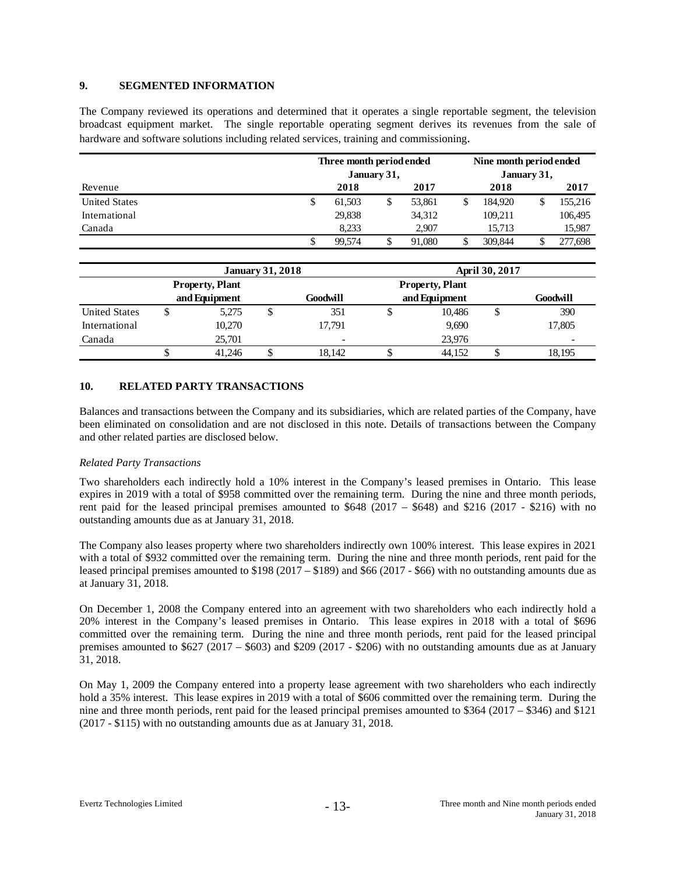## **9. SEGMENTED INFORMATION**

The Company reviewed its operations and determined that it operates a single reportable segment, the television broadcast equipment market. The single reportable operating segment derives its revenues from the sale of hardware and software solutions including related services, training and commissioning.

|                      | Three month period ended<br>January 31, |        |   |        |  | Nine month period ended |  |         |  |
|----------------------|-----------------------------------------|--------|---|--------|--|-------------------------|--|---------|--|
| Revenue              |                                         | 2018   |   | 2017   |  | January 31,<br>2018     |  | 2017    |  |
| <b>United States</b> | S                                       | 61.503 | D | 53,861 |  | 184.920                 |  | 155,216 |  |
| International        |                                         | 29,838 |   | 34,312 |  | 109,211                 |  | 106,495 |  |
| Canada               |                                         | 8.233  |   | 2.907  |  | 15.713                  |  | 15,987  |  |
|                      |                                         | 99.574 |   | 91.080 |  | 309,844                 |  | 277,698 |  |

|                      |   |                        | <b>January 31, 2018</b> |                          | <b>April 30, 2017</b> |               |   |                          |  |
|----------------------|---|------------------------|-------------------------|--------------------------|-----------------------|---------------|---|--------------------------|--|
|                      |   | <b>Property, Plant</b> |                         |                          |                       |               |   |                          |  |
|                      |   | and Equipment          |                         | Goodwill                 |                       | and Equipment |   | Goodwill                 |  |
| <b>United States</b> | Φ | 5,275                  |                         | 351                      |                       | 10,486        | Φ | 390                      |  |
| International        |   | 10.270                 |                         | 17.791                   |                       | 9,690         |   | 17,805                   |  |
| Canada               |   | 25.701                 |                         | $\overline{\phantom{0}}$ |                       | 23.976        |   | $\overline{\phantom{a}}$ |  |
|                      |   | 41.246                 |                         | 18.142                   |                       | 44.152        |   | 18,195                   |  |

#### **10. RELATED PARTY TRANSACTIONS**

Balances and transactions between the Company and its subsidiaries, which are related parties of the Company, have been eliminated on consolidation and are not disclosed in this note. Details of transactions between the Company and other related parties are disclosed below.

#### *Related Party Transactions*

Two shareholders each indirectly hold a 10% interest in the Company's leased premises in Ontario. This lease expires in 2019 with a total of \$958 committed over the remaining term. During the nine and three month periods, rent paid for the leased principal premises amounted to  $$648 (2017 - $648)$  and \$216 (2017 - \$216) with no outstanding amounts due as at January 31, 2018.

The Company also leases property where two shareholders indirectly own 100% interest. This lease expires in 2021 with a total of \$932 committed over the remaining term. During the nine and three month periods, rent paid for the leased principal premises amounted to \$198 (2017 – \$189) and \$66 (2017 - \$66) with no outstanding amounts due as at January 31, 2018.

On December 1, 2008 the Company entered into an agreement with two shareholders who each indirectly hold a 20% interest in the Company's leased premises in Ontario. This lease expires in 2018 with a total of \$696 committed over the remaining term. During the nine and three month periods, rent paid for the leased principal premises amounted to \$627 (2017 – \$603) and \$209 (2017 - \$206) with no outstanding amounts due as at January 31, 2018.

On May 1, 2009 the Company entered into a property lease agreement with two shareholders who each indirectly hold a 35% interest. This lease expires in 2019 with a total of \$606 committed over the remaining term. During the nine and three month periods, rent paid for the leased principal premises amounted to \$364 (2017 – \$346) and \$121 (2017 - \$115) with no outstanding amounts due as at January 31, 2018.